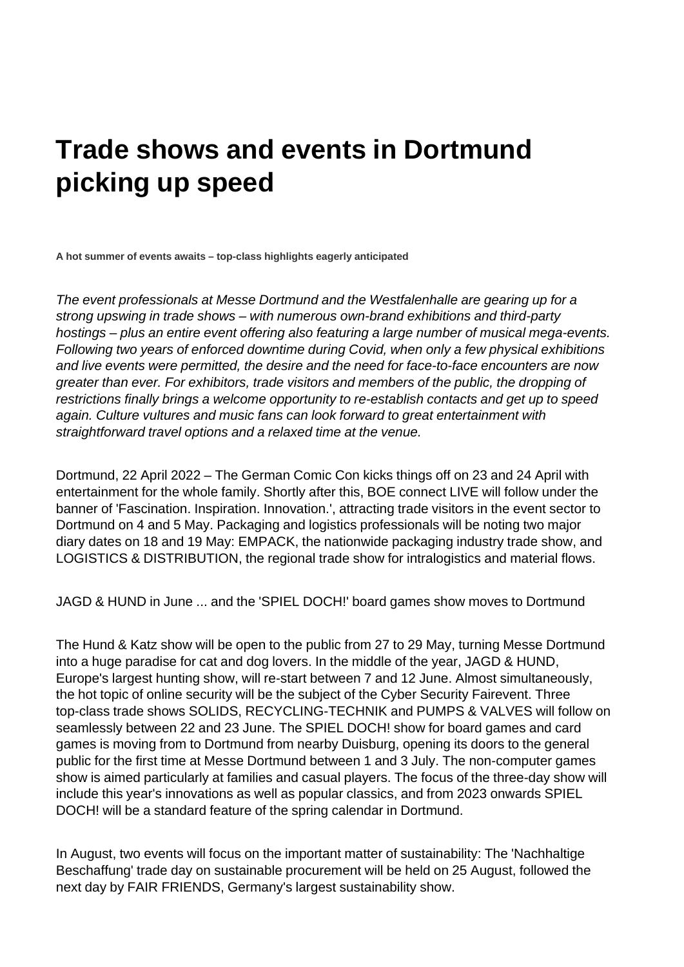## **Trade shows and events in Dortmund picking up speed**

**A hot summer of events awaits – top-class highlights eagerly anticipated**

*The event professionals at Messe Dortmund and the Westfalenhalle are gearing up for a strong upswing in trade shows – with numerous own-brand exhibitions and third-party hostings – plus an entire event offering also featuring a large number of musical mega-events. Following two years of enforced downtime during Covid, when only a few physical exhibitions and live events were permitted, the desire and the need for face-to-face encounters are now greater than ever. For exhibitors, trade visitors and members of the public, the dropping of restrictions finally brings a welcome opportunity to re-establish contacts and get up to speed again. Culture vultures and music fans can look forward to great entertainment with straightforward travel options and a relaxed time at the venue.*

Dortmund, 22 April 2022 – The German Comic Con kicks things off on 23 and 24 April with entertainment for the whole family. Shortly after this, BOE connect LIVE will follow under the banner of 'Fascination. Inspiration. Innovation.', attracting trade visitors in the event sector to Dortmund on 4 and 5 May. Packaging and logistics professionals will be noting two major diary dates on 18 and 19 May: EMPACK, the nationwide packaging industry trade show, and LOGISTICS & DISTRIBUTION, the regional trade show for intralogistics and material flows.

JAGD & HUND in June ... and the 'SPIEL DOCH!' board games show moves to Dortmund

The Hund & Katz show will be open to the public from 27 to 29 May, turning Messe Dortmund into a huge paradise for cat and dog lovers. In the middle of the year, JAGD & HUND, Europe's largest hunting show, will re-start between 7 and 12 June. Almost simultaneously, the hot topic of online security will be the subject of the Cyber Security Fairevent. Three top-class trade shows SOLIDS, RECYCLING-TECHNIK and PUMPS & VALVES will follow on seamlessly between 22 and 23 June. The SPIEL DOCH! show for board games and card games is moving from to Dortmund from nearby Duisburg, opening its doors to the general public for the first time at Messe Dortmund between 1 and 3 July. The non-computer games show is aimed particularly at families and casual players. The focus of the three-day show will include this year's innovations as well as popular classics, and from 2023 onwards SPIEL DOCH! will be a standard feature of the spring calendar in Dortmund.

In August, two events will focus on the important matter of sustainability: The 'Nachhaltige Beschaffung' trade day on sustainable procurement will be held on 25 August, followed the next day by FAIR FRIENDS, Germany's largest sustainability show.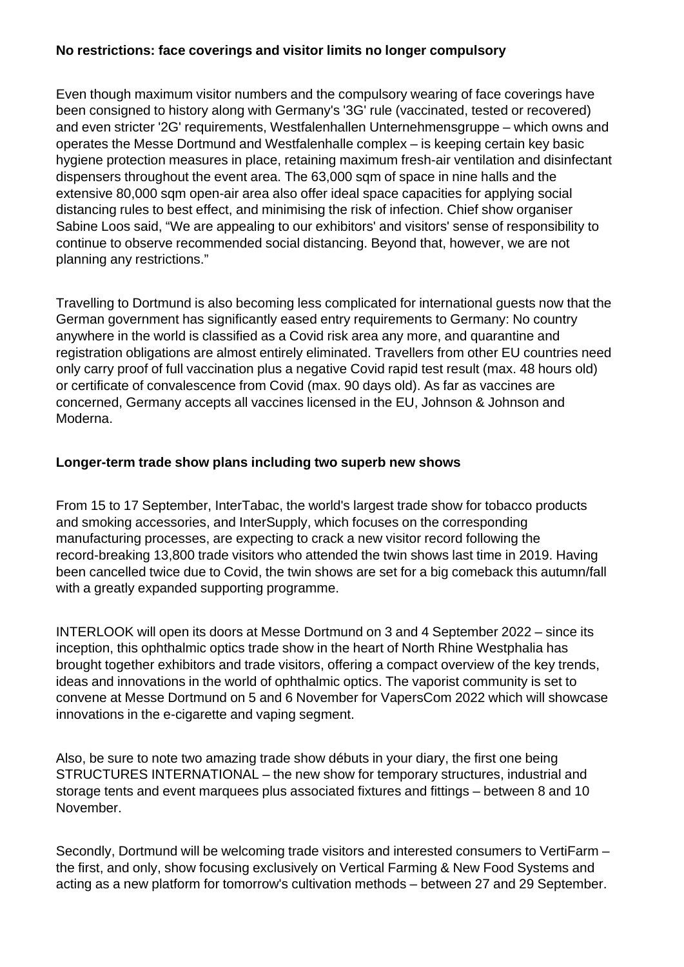## **No restrictions: face coverings and visitor limits no longer compulsory**

Even though maximum visitor numbers and the compulsory wearing of face coverings have been consigned to history along with Germany's '3G' rule (vaccinated, tested or recovered) and even stricter '2G' requirements, Westfalenhallen Unternehmensgruppe – which owns and operates the Messe Dortmund and Westfalenhalle complex – is keeping certain key basic hygiene protection measures in place, retaining maximum fresh-air ventilation and disinfectant dispensers throughout the event area. The 63,000 sqm of space in nine halls and the extensive 80,000 sqm open-air area also offer ideal space capacities for applying social distancing rules to best effect, and minimising the risk of infection. Chief show organiser Sabine Loos said, "We are appealing to our exhibitors' and visitors' sense of responsibility to continue to observe recommended social distancing. Beyond that, however, we are not planning any restrictions."

Travelling to Dortmund is also becoming less complicated for international guests now that the German government has significantly eased entry requirements to Germany: No country anywhere in the world is classified as a Covid risk area any more, and quarantine and registration obligations are almost entirely eliminated. Travellers from other EU countries need only carry proof of full vaccination plus a negative Covid rapid test result (max. 48 hours old) or certificate of convalescence from Covid (max. 90 days old). As far as vaccines are concerned, Germany accepts all vaccines licensed in the EU, Johnson & Johnson and Moderna.

## **Longer-term trade show plans including two superb new shows**

From 15 to 17 September, InterTabac, the world's largest trade show for tobacco products and smoking accessories, and InterSupply, which focuses on the corresponding manufacturing processes, are expecting to crack a new visitor record following the record-breaking 13,800 trade visitors who attended the twin shows last time in 2019. Having been cancelled twice due to Covid, the twin shows are set for a big comeback this autumn/fall with a greatly expanded supporting programme.

INTERLOOK will open its doors at Messe Dortmund on 3 and 4 September 2022 – since its inception, this ophthalmic optics trade show in the heart of North Rhine Westphalia has brought together exhibitors and trade visitors, offering a compact overview of the key trends, ideas and innovations in the world of ophthalmic optics. The vaporist community is set to convene at Messe Dortmund on 5 and 6 November for VapersCom 2022 which will showcase innovations in the e-cigarette and vaping segment.

Also, be sure to note two amazing trade show débuts in your diary, the first one being STRUCTURES INTERNATIONAL – the new show for temporary structures, industrial and storage tents and event marquees plus associated fixtures and fittings – between 8 and 10 November.

Secondly, Dortmund will be welcoming trade visitors and interested consumers to VertiFarm – the first, and only, show focusing exclusively on Vertical Farming & New Food Systems and acting as a new platform for tomorrow's cultivation methods – between 27 and 29 September.